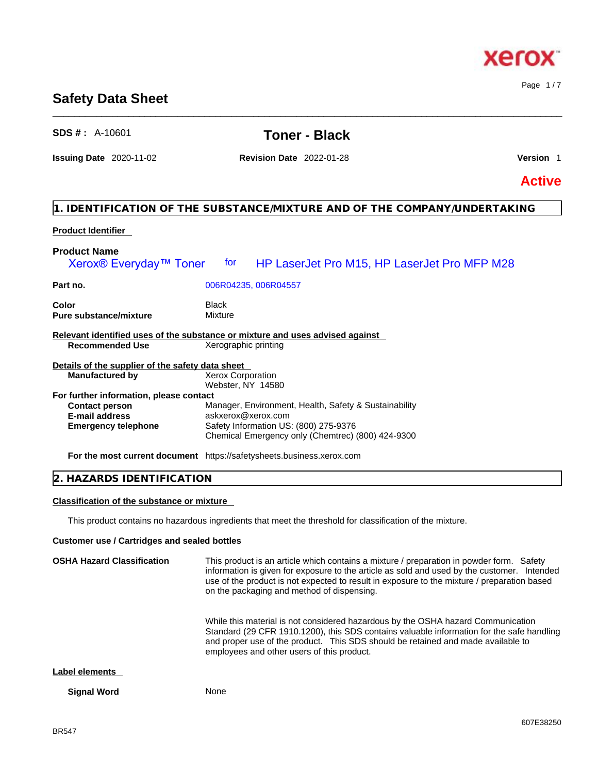# **Safety Data Sheet** \_\_\_\_\_\_\_\_\_\_\_\_\_\_\_\_\_\_\_\_\_\_\_\_\_\_\_\_\_\_\_\_\_\_\_\_\_\_\_\_\_\_\_\_\_\_\_\_\_\_\_\_\_\_\_\_\_\_\_\_\_\_\_\_\_\_\_\_\_\_\_\_\_\_\_\_\_\_\_\_\_\_\_\_\_\_\_\_\_\_\_\_\_\_

# **SDS # :** A-10601 **Toner - Black**

**Issuing Date** 2020-11-02 **Revision Date** 2022-01-28 **Version** 1

**Active**

# **1. IDENTIFICATION OF THE SUBSTANCE/MIXTURE AND OF THE COMPANY/UNDERTAKING**

# **Product Identifier**

**Product Name** 

| Product Name<br>Xerox <sup>®</sup> Everyday <sup>™</sup> Toner | for the set of the set of the set of the set of the set of the set of the set of the set of the set of the set o<br>HP LaserJet Pro M15, HP LaserJet Pro MFP M28 |
|----------------------------------------------------------------|------------------------------------------------------------------------------------------------------------------------------------------------------------------|
| Part no.                                                       | 006R04235, 006R04557                                                                                                                                             |
| Color<br><b>Pure substance/mixture</b>                         | <b>Black</b><br>Mixture                                                                                                                                          |
| <b>Recommended Use</b>                                         | Relevant identified uses of the substance or mixture and uses advised against<br>Xerographic printing                                                            |
| Details of the supplier of the safety data sheet               |                                                                                                                                                                  |
| <b>Manufactured by</b>                                         | <b>Xerox Corporation</b><br>Webster, NY 14580                                                                                                                    |
| For further information, please contact                        |                                                                                                                                                                  |
| <b>Contact person</b>                                          | Manager, Environment, Health, Safety & Sustainability                                                                                                            |
| E-mail address                                                 | askxerox@xerox.com                                                                                                                                               |
| <b>Emergency telephone</b>                                     | Safety Information US: (800) 275-9376<br>Chemical Emergency only (Chemtrec) (800) 424-9300                                                                       |

**For the most current document** https://safetysheets.business.xerox.com

| IDENTIFICATION<br>12<br>MDDC.<br>ILARIJ |  |
|-----------------------------------------|--|
|                                         |  |

# **Classification of the substance or mixture**

This product contains no hazardous ingredients that meet the threshold for classification of the mixture.

# **Customer use / Cartridges and sealed bottles**

**OSHA Hazard Classification** This product is an article which contains a mixture / preparation in powder form. Safety information is given for exposure to the article as sold and used by the customer. Intended use of the product is not expected to result in exposure to the mixture / preparation based on the packaging and method of dispensing.

> While this material is not considered hazardous by the OSHA hazard Communication Standard (29 CFR 1910.1200), this SDS contains valuable information for the safe handling and proper use of the product. This SDS should be retained and made available to employees and other users of this product.

# **Label elements**

**Signal Word** None



Page 1 / 7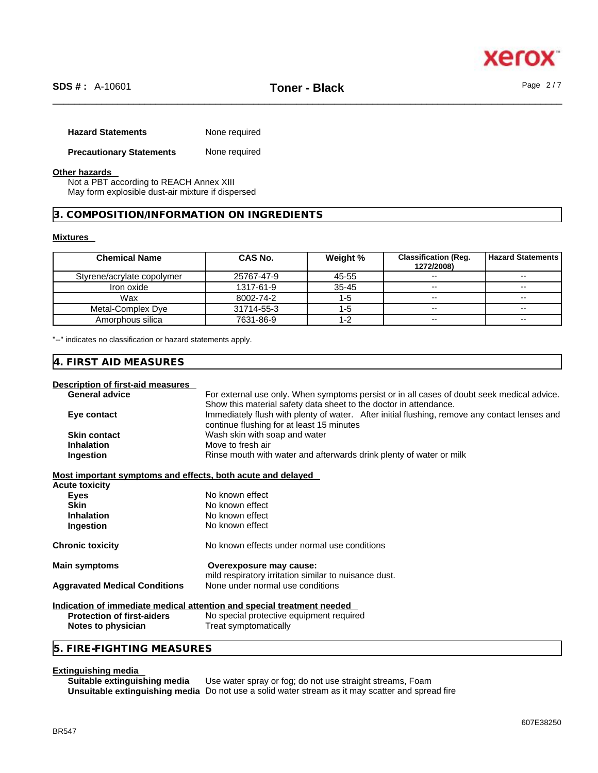

| <b>Hazard Statements</b>        | None required |
|---------------------------------|---------------|
| <b>Precautionary Statements</b> | None required |

#### **Other hazards**

Not a PBT according to REACH Annex XIII May form explosible dust-air mixture if dispersed

**3. COMPOSITION/INFORMATION ON INGREDIENTS** 

# **Mixtures**

| <b>Chemical Name</b>       | <b>CAS No.</b> | Weight % | <b>Classification (Req.</b><br>1272/2008) | <b>Hazard Statements</b> |
|----------------------------|----------------|----------|-------------------------------------------|--------------------------|
| Styrene/acrylate copolymer | 25767-47-9     | 45-55    | $\sim$ $\sim$                             | $\sim$ $\sim$            |
| Iron oxide                 | 1317-61-9      | 35-45    | $\overline{\phantom{m}}$                  | $\sim$ $\sim$            |
| Wax                        | 8002-74-2      | 1-5      | $\overline{\phantom{a}}$                  | $\sim$ $\sim$            |
| Metal-Complex Dye          | 31714-55-3     | 1-5      | $- -$                                     | $\sim$ $\sim$            |
| Amorphous silica           | 7631-86-9      | 1-2      | $\overline{\phantom{a}}$                  | $\sim$ $\sim$            |

"--" indicates no classification or hazard statements apply.

# **4. FIRST AID MEASURES**

#### **Description of first-aid measures**

| For external use only. When symptoms persist or in all cases of doubt seek medical advice.<br><b>General advice</b> |                                                                                               |
|---------------------------------------------------------------------------------------------------------------------|-----------------------------------------------------------------------------------------------|
|                                                                                                                     | Show this material safety data sheet to the doctor in attendance.                             |
| Eye contact                                                                                                         | Immediately flush with plenty of water. After initial flushing, remove any contact lenses and |
|                                                                                                                     | continue flushing for at least 15 minutes                                                     |
| <b>Skin contact</b>                                                                                                 | Wash skin with soap and water                                                                 |
| <b>Inhalation</b>                                                                                                   | Move to fresh air                                                                             |
| <b>Ingestion</b>                                                                                                    | Rinse mouth with water and afterwards drink plenty of water or milk                           |
|                                                                                                                     |                                                                                               |

#### **Most important symptoms and effects, both acute and delayed**

| <b>Acute toxicity</b>                |                                                                                  |  |
|--------------------------------------|----------------------------------------------------------------------------------|--|
| <b>Eves</b>                          | No known effect                                                                  |  |
| <b>Skin</b>                          | No known effect                                                                  |  |
| <b>Inhalation</b>                    | No known effect                                                                  |  |
| Ingestion                            | No known effect                                                                  |  |
| <b>Chronic toxicity</b>              | No known effects under normal use conditions                                     |  |
| <b>Main symptoms</b>                 | Overexposure may cause:<br>mild respiratory irritation similar to nuisance dust. |  |
| <b>Aggravated Medical Conditions</b> | None under normal use conditions                                                 |  |
|                                      | Indication of immediate medical attention and special treatment needed           |  |
| Desiratan af float aldere            | Na sessial exatesting seniessest resultad                                        |  |

| <b>Protection of first-aiders</b> | No special protective equipment required |
|-----------------------------------|------------------------------------------|
| Notes to physician                | Treat symptomatically                    |

| 5. FIRE-FIGHTING MEASURES |  |
|---------------------------|--|
|---------------------------|--|

**Extinguishing media**  Use water spray or fog; do not use straight streams, Foam **Unsuitable extinguishing media** Do not use a solid water stream as it may scatterand spread fire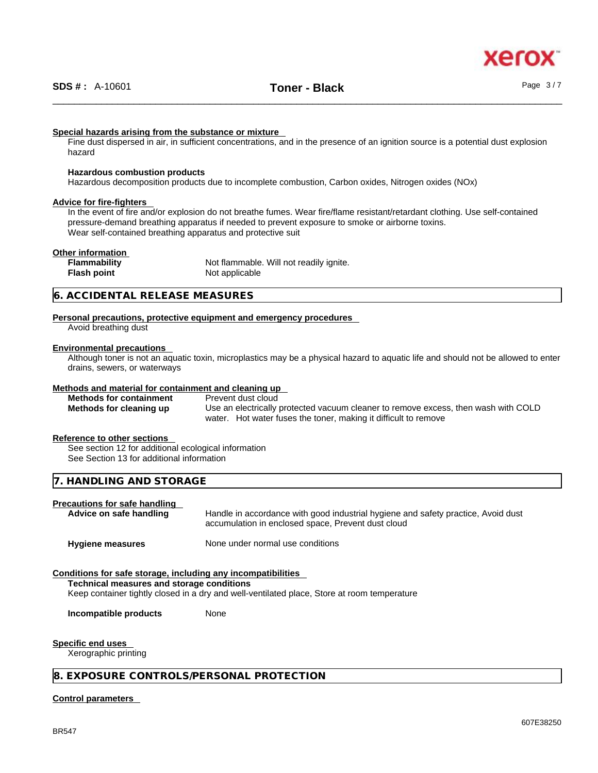xerc

#### **Special hazards arising from the substance or mixture**

Fine dust dispersed in air, in sufficient concentrations, and in the presence of an ignition source is a potential dust explosion hazard

#### **Hazardous combustion products**

Hazardous decomposition products due to incomplete combustion, Carbon oxides, Nitrogen oxides (NOx)

#### **Advice for fire-fighters**

In the event of fire and/or explosion do not breathe fumes. Wear fire/flame resistant/retardant clothing. Use self-contained pressure-demand breathing apparatus if needed to prevent exposure to smoke or airborne toxins. Wear self-contained breathing apparatus and protective suit

#### **Other information**

| <b>Flammability</b> | Not flammable. Will not readily ignite. |
|---------------------|-----------------------------------------|
| Flash point         | Not applicable                          |

# **6. ACCIDENTAL RELEASE MEASURES**

# **Personal precautions, protective equipment and emergency procedures**

Avoid breathing dust

#### **Environmental precautions**

Although toner is not an aquatic toxin, microplastics may be a physical hazard to aquatic life and should not be allowed to enter drains, sewers, or waterways

#### **Methods and material for containment and cleaning up**

**Methods for containment** Prevent dust cloud

**Methods for cleaning up** Use an electrically protected vacuum cleaner to remove excess, then wash with COLD water. Hot water fuses the toner, making it difficult to remove

#### **Reference to other sections**

See section 12 for additional ecological information See Section 13 for additional information

#### **7. HANDLING AND STORAGE**

## **Precautions for safe handling**

**Advice on safe handling** Handle in accordance with good industrial hygiene and safety practice, Avoid dust accumulation in enclosed space, Prevent dust cloud

**Hygiene measures** None under normal use conditions

#### **Conditions for safe storage, including any incompatibilities**

**Technical measures and storage conditions**

Keep container tightly closed in a dry and well-ventilated place, Store at room temperature

**Incompatible products** None

#### **Specific end uses**

Xerographic printing

#### **8. EXPOSURE CONTROLS/PERSONAL PROTECTION**

#### **Control parameters**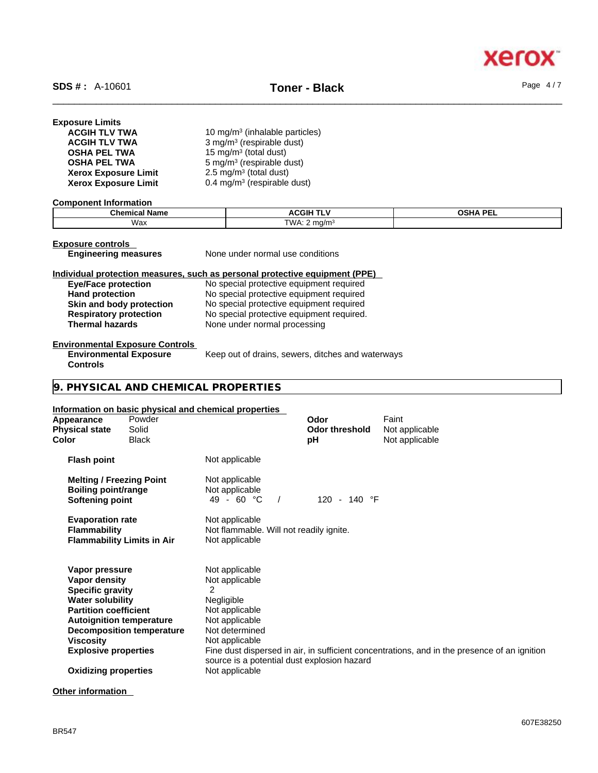

| <b>Exposure Limits</b>      |                                            |
|-----------------------------|--------------------------------------------|
| <b>ACGIH TLV TWA</b>        | 10 mg/m <sup>3</sup> (inhalable particles) |
| <b>ACGIH TLV TWA</b>        | 3 mg/m <sup>3</sup> (respirable dust)      |
| <b>OSHA PEL TWA</b>         | 15 mg/m <sup>3</sup> (total dust)          |
| <b>OSHA PEL TWA</b>         | 5 mg/m <sup>3</sup> (respirable dust)      |
| <b>Xerox Exposure Limit</b> | 2.5 mg/m <sup>3</sup> (total dust)         |
| <b>Xerox Exposure Limit</b> | 0.4 mg/m <sup>3</sup> (respirable dust)    |

#### **Component Information**

| <b>Chemical Name</b> | <b>ACGIH</b><br>. .        | ADF<br>∩SHA<br>-- |
|----------------------|----------------------------|-------------------|
| Wax                  | $T$ $M\Delta$<br>ma/m<br>. |                   |

**Exposure controls<br>
Engineering measures** 

**Engineering measures** None under normal use conditions

## **Individual protection measures, such as personal protective equipment (PPE)** ive equipment required

| <b>Eye/Face protection</b>    | No special protective equipment required  |
|-------------------------------|-------------------------------------------|
| <b>Hand protection</b>        | No special protective equipment required  |
| Skin and body protection      | No special protective equipment required  |
| <b>Respiratory protection</b> | No special protective equipment required. |
| <b>Thermal hazards</b>        | None under normal processing              |

# **Environmental Exposure Controls**

**Environmental Exposure Controls** 

Keep out of drains, sewers, ditches and waterways

# **9. PHYSICAL AND CHEMICAL PROPERTIES**

# **Information on basic physical and chemical properties**

| Appearance<br><b>Physical state</b><br>Color                                                                                                                                                                                             | Powder<br>Solid<br>Black          |                                                                                                                                                                            | Odor<br><b>Odor threshold</b><br>рH | Faint<br>Not applicable<br>Not applicable                                                    |
|------------------------------------------------------------------------------------------------------------------------------------------------------------------------------------------------------------------------------------------|-----------------------------------|----------------------------------------------------------------------------------------------------------------------------------------------------------------------------|-------------------------------------|----------------------------------------------------------------------------------------------|
| <b>Flash point</b>                                                                                                                                                                                                                       |                                   | Not applicable                                                                                                                                                             |                                     |                                                                                              |
| <b>Melting / Freezing Point</b><br><b>Boiling point/range</b><br>Softening point                                                                                                                                                         |                                   | Not applicable<br>Not applicable<br>49 - 60 °C                                                                                                                             | 120 - 140 °F                        |                                                                                              |
| <b>Evaporation rate</b><br><b>Flammability</b>                                                                                                                                                                                           | <b>Flammability Limits in Air</b> | Not applicable<br>Not flammable. Will not readily ignite.<br>Not applicable                                                                                                |                                     |                                                                                              |
| Vapor pressure<br>Vapor density<br><b>Specific gravity</b><br><b>Water solubility</b><br><b>Partition coefficient</b><br><b>Autoignition temperature</b><br><b>Decomposition temperature</b><br>Viscosity<br><b>Explosive properties</b> |                                   | Not applicable<br>Not applicable<br>2<br>Negligible<br>Not applicable<br>Not applicable<br>Not determined<br>Not applicable<br>source is a potential dust explosion hazard |                                     | Fine dust dispersed in air, in sufficient concentrations, and in the presence of an ignition |
| <b>Oxidizing properties</b>                                                                                                                                                                                                              |                                   | Not applicable                                                                                                                                                             |                                     |                                                                                              |
|                                                                                                                                                                                                                                          |                                   |                                                                                                                                                                            |                                     |                                                                                              |

**Other information**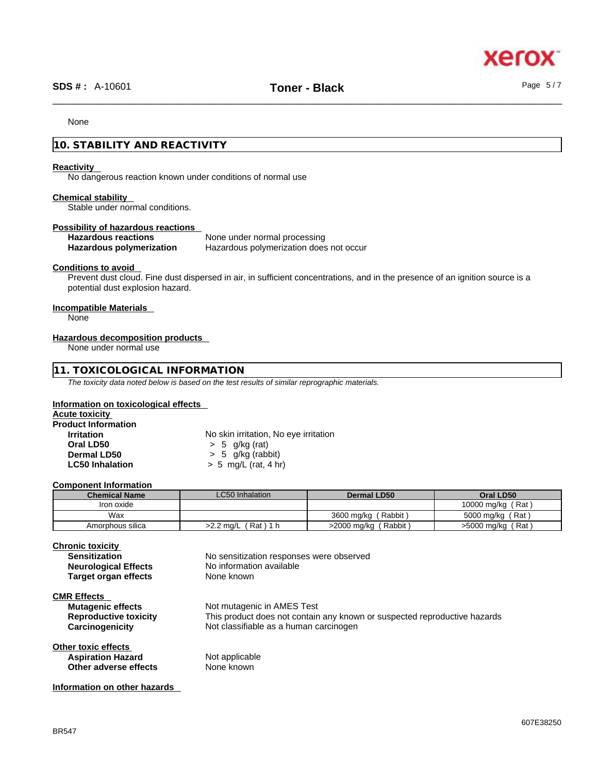

# \_\_\_\_\_\_\_\_\_\_\_\_\_\_\_\_\_\_\_\_\_\_\_\_\_\_\_\_\_\_\_\_\_\_\_\_\_\_\_\_\_\_\_\_\_\_\_\_\_\_\_\_\_\_\_\_\_\_\_\_\_\_\_\_\_\_\_\_\_\_\_\_\_\_\_\_\_\_\_\_\_\_\_\_\_\_\_\_\_\_\_\_\_\_ **SDS # :** A-10601 **Toner - Black** Page 5 / 7

#### None

# **10. STABILITY AND REACTIVITY**

# **Reactivity**

No dangerous reaction known under conditions of normal use

#### **Chemical stability**

Stable under normal conditions.

**Possibility of hazardous reactions Hazardous reactions**<br> **Hazardous polymerization Hazardous polymerization does Hazardous polymerization does not occur** 

#### **Conditions to avoid**

Prevent dust cloud. Fine dust dispersed in air, in sufficient concentrations, and in the presence of an ignition source is a potential dust explosion hazard.

#### **Incompatible Materials**

None

# **Hazardous decomposition products**

None under normal use

# **11. TOXICOLOGICAL INFORMATION**

*The toxicity data noted below is based on the test results of similar reprographic materials.* 

#### **Information on toxicological effects**

| Acute toxicity             |                                       |
|----------------------------|---------------------------------------|
| <b>Product Information</b> |                                       |
| <b>Irritation</b>          | No skin irritation, No eye irritation |
| Oral LD50                  | $> 5$ g/kg (rat)                      |
| Dermal LD50                | $> 5$ g/kg (rabbit)                   |
| <b>LC50 Inhalation</b>     | $> 5$ mg/L (rat, 4 hr)                |

#### **Component Information**

| <b>Chemical Name</b> | LC50 Inhalation          | Dermal LD50                | Oral LD50           |
|----------------------|--------------------------|----------------------------|---------------------|
| Iron oxide           |                          |                            | 10000 mg/kg (Rat)   |
| Wax                  |                          | 3600 mg/kg (Rabbit)        | 5000 mg/kg (Rat)    |
| Amorphous silica     | Rat ) 1 h<br>$>2.2$ ma/L | (Rabbit)<br>>2000 mg/kg (' | $>5000$ mg/kg (Rat) |

| <b>Chronic toxicity</b>      |                                                                           |
|------------------------------|---------------------------------------------------------------------------|
| <b>Sensitization</b>         | No sensitization responses were observed                                  |
| <b>Neurological Effects</b>  | No information available                                                  |
| <b>Target organ effects</b>  | None known                                                                |
| <b>CMR Effects</b>           |                                                                           |
| <b>Mutagenic effects</b>     | Not mutagenic in AMES Test                                                |
| <b>Reproductive toxicity</b> | This product does not contain any known or suspected reproductive hazards |
| Carcinogenicity              | Not classifiable as a human carcinogen                                    |
| <b>Other toxic effects</b>   |                                                                           |
| <b>Aspiration Hazard</b>     | Not applicable                                                            |
| Other adverse effects        | None known                                                                |
| Information on other hazards |                                                                           |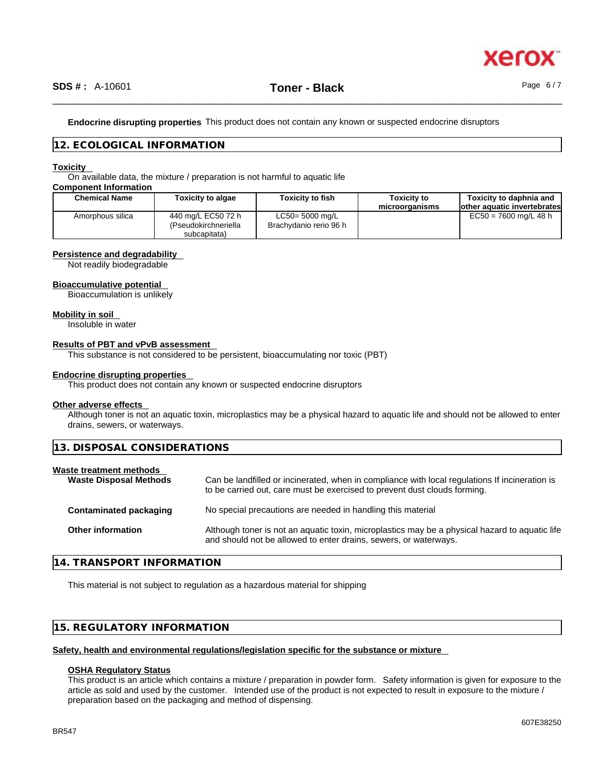

#### **Endocrine disrupting properties** This product does not contain any known or suspected endocrine disruptors

## **12. ECOLOGICAL INFORMATION**

#### **Toxicity**

On available data, the mixture / preparation is not harmful to aquatic life

**Component Information**

| <b>Chemical Name</b> | <b>Toxicity to algae</b>                                   | <b>Toxicity to fish</b>                      | <b>Toxicity to</b><br>microorganisms | Toxicity to daphnia and<br>lother aquatic invertebrates |
|----------------------|------------------------------------------------------------|----------------------------------------------|--------------------------------------|---------------------------------------------------------|
| Amorphous silica     | 440 mg/L EC50 72 h<br>(Pseudokirchneriella<br>subcapitata) | $LC50 = 5000$ mg/L<br>Brachydanio rerio 96 h |                                      | $EC50 = 7600$ mg/L 48 h                                 |

#### **Persistence and degradability**

Not readily biodegradable

#### **Bioaccumulative potential**

Bioaccumulation is unlikely

#### **Mobility in soil**

Insoluble in water

#### **Results of PBT and vPvB assessment**

This substance is not considered to be persistent, bioaccumulating nor toxic (PBT)

#### **Endocrine disrupting properties**

This product does not contain any known or suspected endocrine disruptors

#### **Other adverse effects**

Although toner is not an aquatic toxin, microplastics may be a physical hazard to aquatic life and should not be allowed to enter drains, sewers, or waterways.

|  |  | 13. DISPOSAL CONSIDERATIONS |  |
|--|--|-----------------------------|--|
|--|--|-----------------------------|--|

| Can be landfilled or incinerated, when in compliance with local regulations If incineration is<br>to be carried out, care must be exercised to prevent dust clouds forming. |
|-----------------------------------------------------------------------------------------------------------------------------------------------------------------------------|
| No special precautions are needed in handling this material                                                                                                                 |
| Although toner is not an aquatic toxin, microplastics may be a physical hazard to aquatic life<br>and should not be allowed to enter drains, sewers, or waterways.          |
|                                                                                                                                                                             |

# **14. TRANSPORT INFORMATION**

This material is not subject to regulation as a hazardous material for shipping

# **15. REGULATORY INFORMATION**

# **Safety, health and environmental regulations/legislation specific for the substance or mixture**

# **OSHA Regulatory Status**

This product is an article which contains a mixture / preparation in powder form. Safety information is given for exposure to the article as sold and used by the customer. Intended use of the product is not expected to result in exposure to the mixture / preparation based on the packaging and method of dispensing.